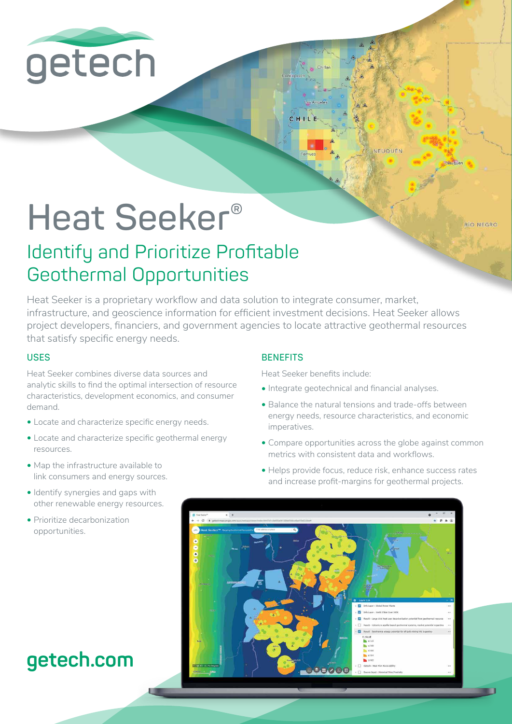

# **Heat Seeker®**

RÍO NEGRO

## Identify and Prioritize Profitable Geothermal Opportunities

Heat Seeker is a proprietary workflow and data solution to integrate consumer, market, infrastructure, and geoscience information for efficient investment decisions. Heat Seeker allows project developers, financiers, and government agencies to locate attractive geothermal resources that satisfy specific energy needs.

#### **USES**

Heat Seeker combines diverse data sources and analytic skills to find the optimal intersection of resource characteristics, development economics, and consumer demand.

- Locate and characterize specific energy needs.
- Locate and characterize specific geothermal energy resources.
- Map the infrastructure available to link consumers and energy sources.
- Identify synergies and gaps with other renewable energy resources.
- Prioritize decarbonization opportunities.

## **getech.com**

#### **BENEFITS**

Heat Seeker benefits include:

CHILE

- Integrate geotechnical and financial analyses.
- Balance the natural tensions and trade-offs between energy needs, resource characteristics, and economic imperatives.
- Compare opportunities across the globe against common metrics with consistent data and workflows.

**VELIQUEN** 

• Helps provide focus, reduce risk, enhance success rates and increase profit-margins for geothermal projects.